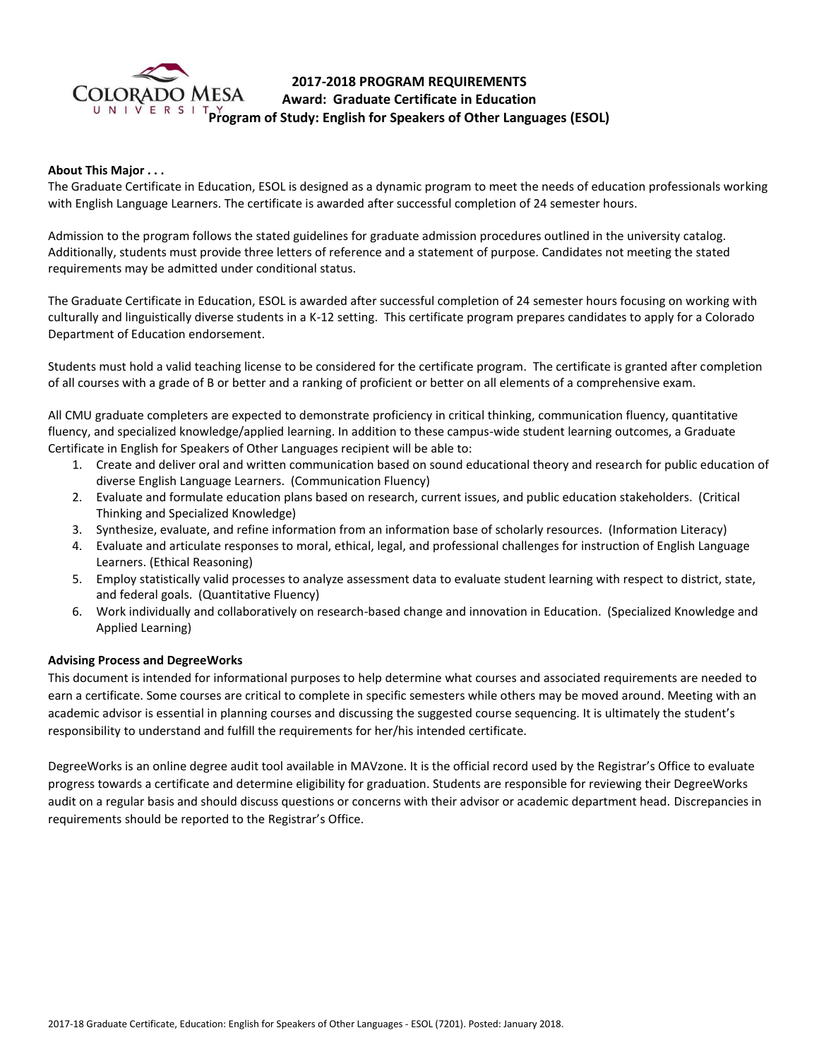

# **2017-2018 PROGRAM REQUIREMENTS Award: Graduate Certificate in Education Program of Study: English for Speakers of Other Languages (ESOL)**

# **About This Major . . .**

The Graduate Certificate in Education, ESOL is designed as a dynamic program to meet the needs of education professionals working with English Language Learners. The certificate is awarded after successful completion of 24 semester hours.

Admission to the program follows the stated guidelines for graduate admission procedures outlined in the university catalog. Additionally, students must provide three letters of reference and a statement of purpose. Candidates not meeting the stated requirements may be admitted under conditional status.

The Graduate Certificate in Education, ESOL is awarded after successful completion of 24 semester hours focusing on working with culturally and linguistically diverse students in a K-12 setting. This certificate program prepares candidates to apply for a Colorado Department of Education endorsement.

Students must hold a valid teaching license to be considered for the certificate program. The certificate is granted after completion of all courses with a grade of B or better and a ranking of proficient or better on all elements of a comprehensive exam.

All CMU graduate completers are expected to demonstrate proficiency in critical thinking, communication fluency, quantitative fluency, and specialized knowledge/applied learning. In addition to these campus-wide student learning outcomes, a Graduate Certificate in English for Speakers of Other Languages recipient will be able to:

- 1. Create and deliver oral and written communication based on sound educational theory and research for public education of diverse English Language Learners. (Communication Fluency)
- 2. Evaluate and formulate education plans based on research, current issues, and public education stakeholders. (Critical Thinking and Specialized Knowledge)
- 3. Synthesize, evaluate, and refine information from an information base of scholarly resources. (Information Literacy)
- 4. Evaluate and articulate responses to moral, ethical, legal, and professional challenges for instruction of English Language Learners. (Ethical Reasoning)
- 5. Employ statistically valid processes to analyze assessment data to evaluate student learning with respect to district, state, and federal goals. (Quantitative Fluency)
- 6. Work individually and collaboratively on research-based change and innovation in Education. (Specialized Knowledge and Applied Learning)

## **Advising Process and DegreeWorks**

This document is intended for informational purposes to help determine what courses and associated requirements are needed to earn a certificate. Some courses are critical to complete in specific semesters while others may be moved around. Meeting with an academic advisor is essential in planning courses and discussing the suggested course sequencing. It is ultimately the student's responsibility to understand and fulfill the requirements for her/his intended certificate.

DegreeWorks is an online degree audit tool available in MAVzone. It is the official record used by the Registrar's Office to evaluate progress towards a certificate and determine eligibility for graduation. Students are responsible for reviewing their DegreeWorks audit on a regular basis and should discuss questions or concerns with their advisor or academic department head. Discrepancies in requirements should be reported to the Registrar's Office.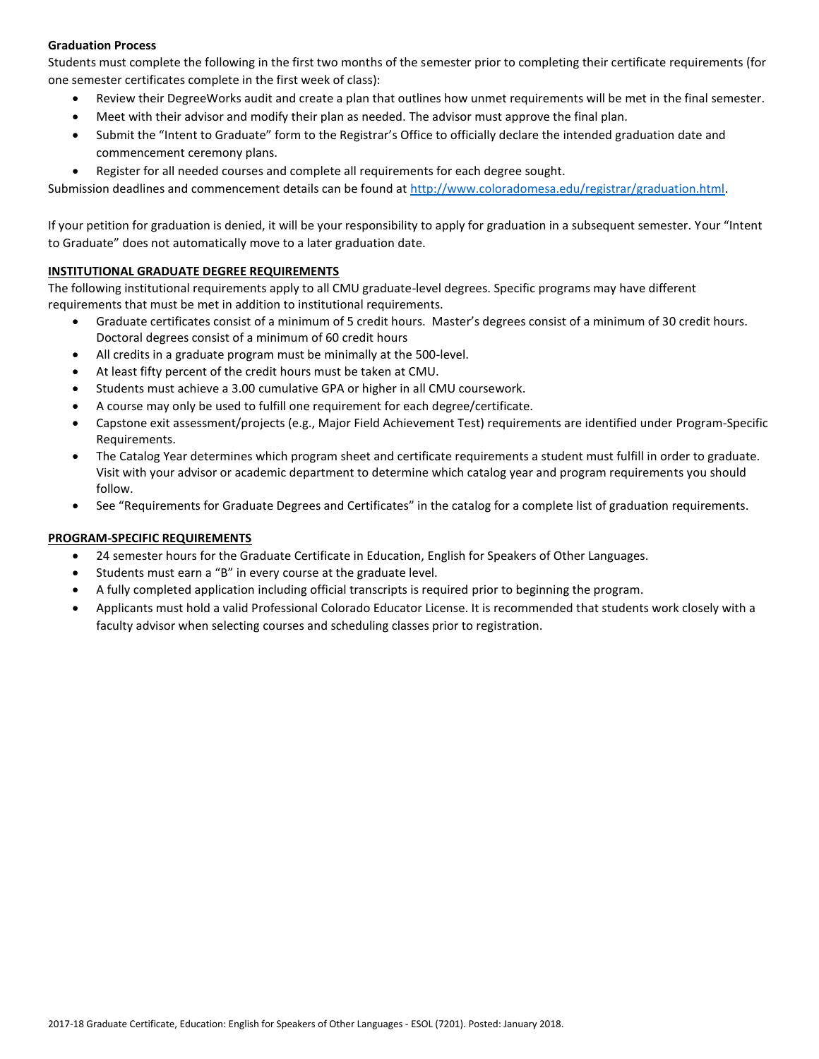## **Graduation Process**

Students must complete the following in the first two months of the semester prior to completing their certificate requirements (for one semester certificates complete in the first week of class):

- Review their DegreeWorks audit and create a plan that outlines how unmet requirements will be met in the final semester.
- Meet with their advisor and modify their plan as needed. The advisor must approve the final plan.
- Submit the "Intent to Graduate" form to the Registrar's Office to officially declare the intended graduation date and commencement ceremony plans.
- Register for all needed courses and complete all requirements for each degree sought.

Submission deadlines and commencement details can be found at [http://www.coloradomesa.edu/registrar/graduation.html.](http://www.coloradomesa.edu/registrar/graduation.html)

If your petition for graduation is denied, it will be your responsibility to apply for graduation in a subsequent semester. Your "Intent to Graduate" does not automatically move to a later graduation date.

#### **INSTITUTIONAL GRADUATE DEGREE REQUIREMENTS**

The following institutional requirements apply to all CMU graduate-level degrees. Specific programs may have different requirements that must be met in addition to institutional requirements.

- Graduate certificates consist of a minimum of 5 credit hours. Master's degrees consist of a minimum of 30 credit hours. Doctoral degrees consist of a minimum of 60 credit hours
- All credits in a graduate program must be minimally at the 500-level.
- At least fifty percent of the credit hours must be taken at CMU.
- Students must achieve a 3.00 cumulative GPA or higher in all CMU coursework.
- A course may only be used to fulfill one requirement for each degree/certificate.
- Capstone exit assessment/projects (e.g., Major Field Achievement Test) requirements are identified under Program-Specific Requirements.
- The Catalog Year determines which program sheet and certificate requirements a student must fulfill in order to graduate. Visit with your advisor or academic department to determine which catalog year and program requirements you should follow.
- See "Requirements for Graduate Degrees and Certificates" in the catalog for a complete list of graduation requirements.

## **PROGRAM-SPECIFIC REQUIREMENTS**

- 24 semester hours for the Graduate Certificate in Education, English for Speakers of Other Languages.
- Students must earn a "B" in every course at the graduate level.
- A fully completed application including official transcripts is required prior to beginning the program.
- Applicants must hold a valid Professional Colorado Educator License. It is recommended that students work closely with a faculty advisor when selecting courses and scheduling classes prior to registration.